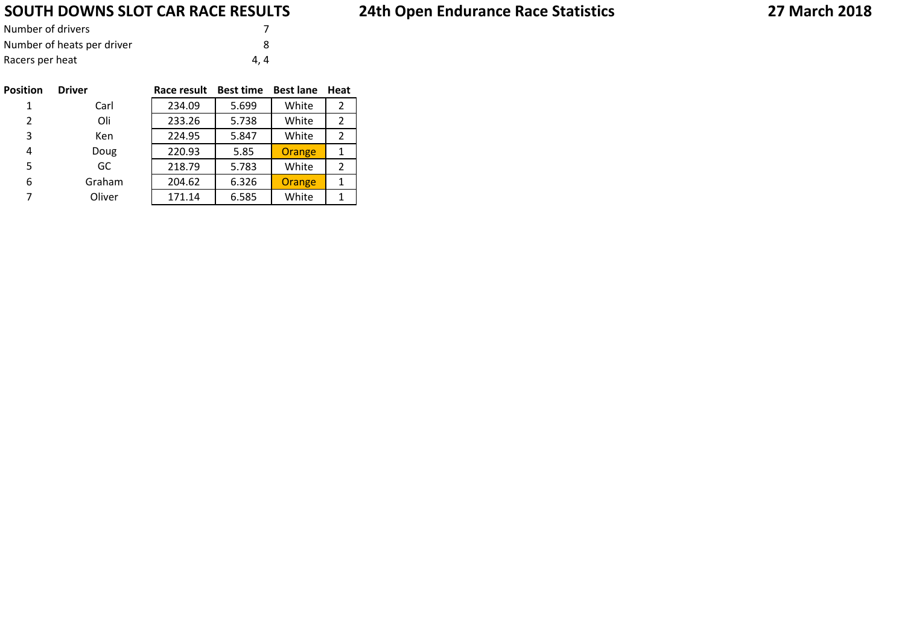## **SOUTH DOWNS SLOT CAR RACE RESULTS**

| Number of drivers          |     |
|----------------------------|-----|
| Number of heats per driver |     |
| Racers per heat            | 4.4 |

| <b>Position</b> | <b>Driver</b> | Race result | <b>Best time</b> | <b>Best lane</b> | Heat |
|-----------------|---------------|-------------|------------------|------------------|------|
| 1               | Carl          | 234.09      | 5.699            | White            | 2    |
| $\overline{2}$  | Oli           | 233.26      | 5.738            | White            | 2    |
| 3               | Ken           | 224.95      | 5.847            | White            | 2    |
| 4               | Doug          | 220.93      | 5.85             | Orange           | 1    |
| 5               | GC            | 218.79      | 5.783            | White            | 2    |
| 6               | Graham        | 204.62      | 6.326            | Orange           | 1    |
| 7               | Oliver        | 171.14      | 6.585            | White            | 1    |